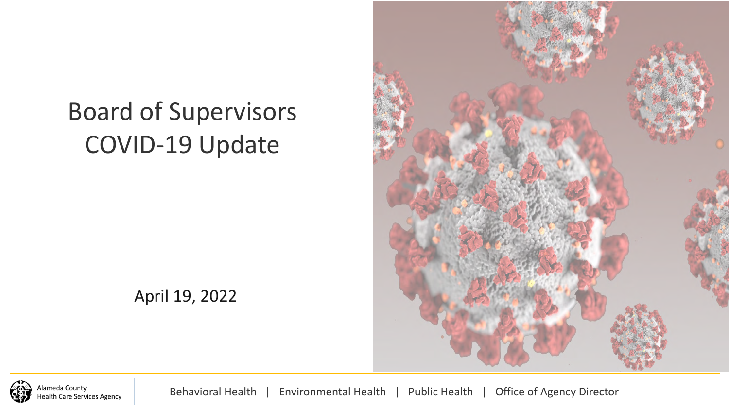# Board of Supervisors COVID-19 Update



April 19, 2022



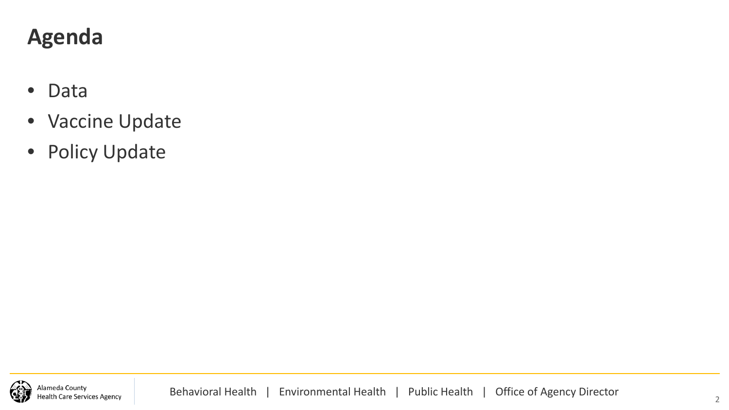# **Agenda**

- Data
- Vaccine Update
- Policy Update

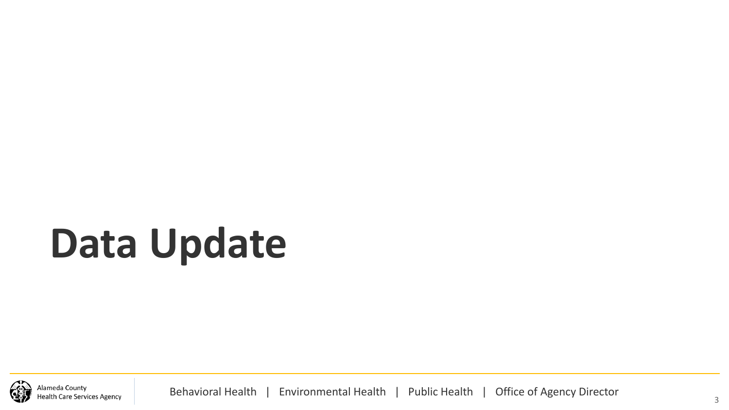# **Data Update**

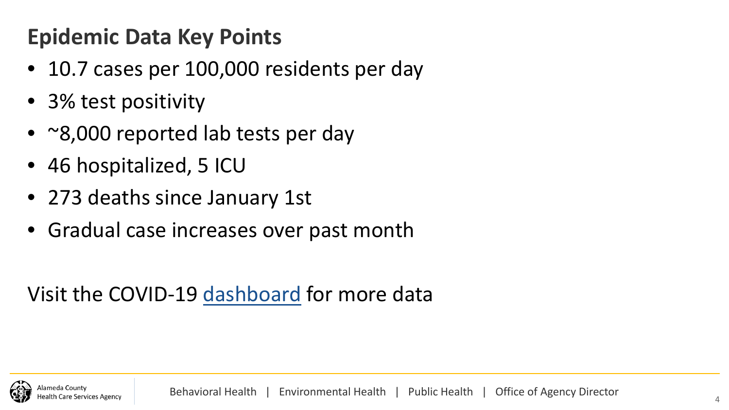# **Epidemic Data Key Points**

- 10.7 cases per 100,000 residents per day
- 3% test positivity
- ~8,000 reported lab tests per day
- 46 hospitalized, 5 ICU
- 273 deaths since January 1st
- Gradual case increases over past month

Visit the COVID-19 [dashboard](https://covid-19.acgov.org/data) for more data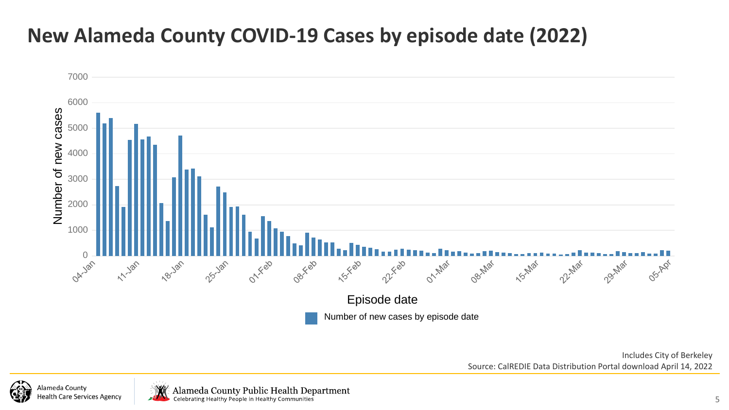### **New Alameda County COVID-19 Cases by episode date (2022)**



Includes City of Berkeley Source: CalREDIE Data Distribution Portal download April 14, 2022



Alameda County Public Health Department<br>
Celebrating Healthy People in Healthy Communities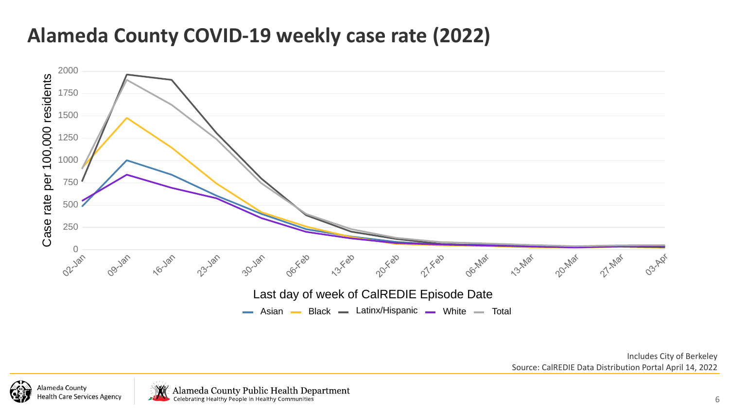### **Alameda County COVID-19 weekly case rate (2022)**



Includes City of Berkeley Source: CalREDIE Data Distribution Portal April 14, 2022



Alameda County Public Health Department<br>Celebrating Healthy People in Healthy Communities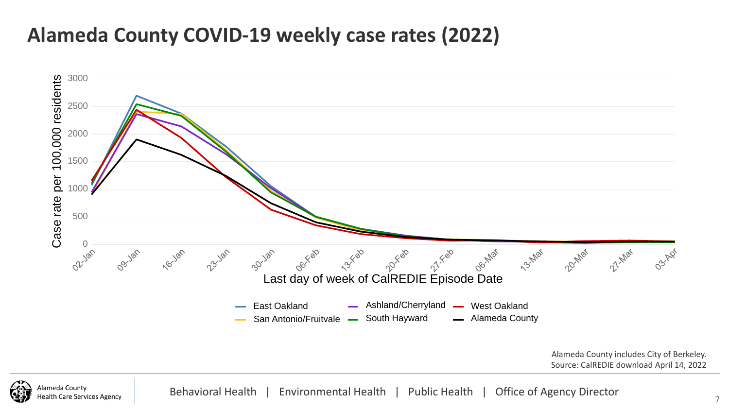#### **Alameda County COVID-19 weekly case rates (2022)**



Alameda County includes City of Berkeley. Source: CalREDIE download April 14, 2022

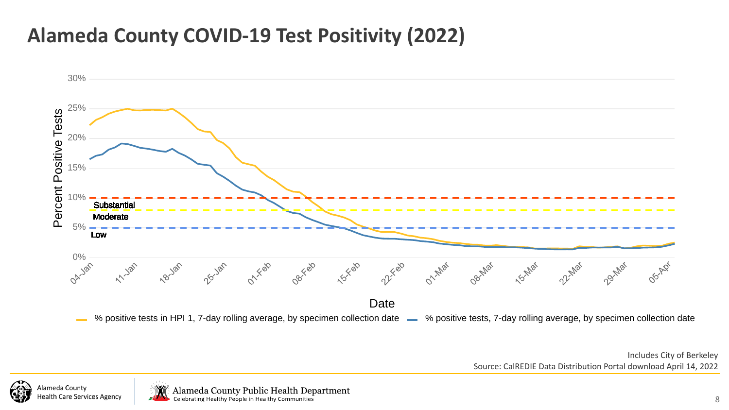### **Alameda County COVID-19 Test Positivity (2022)**



Includes City of Berkeley Source: CalREDIE Data Distribution Portal download April 14, 2022

Alameda County Health Care Services Agency



Alameda County Public Health Department<br>Celebrating Healthy People in Healthy Communities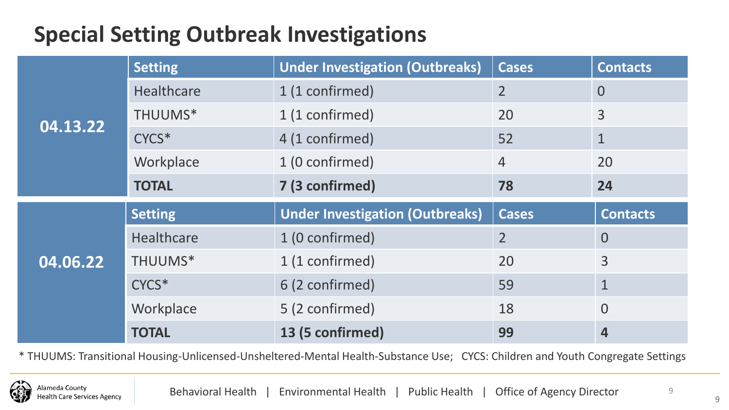# **Special Setting Outbreak Investigations**

| $\overline{04.13.22}$ | <b>Setting</b>    | <b>Under Investigation (Outbreaks)</b> | <b>Cases</b>   | <b>Contacts</b> |  |
|-----------------------|-------------------|----------------------------------------|----------------|-----------------|--|
|                       | <b>Healthcare</b> | 1 (1 confirmed)                        | 2 <sup>1</sup> | $\overline{0}$  |  |
|                       | THUUMS*           | 1 (1 confirmed)                        | 20             | 3               |  |
|                       | CYCS*             | 4 (1 confirmed)                        | 52             | $\mathbf{1}$    |  |
|                       | Workplace         | 1 (0 confirmed)                        | $\overline{4}$ | 20              |  |
|                       | <b>TOTAL</b>      | 7 (3 confirmed)                        | 78             | 24              |  |
|                       |                   |                                        |                |                 |  |
|                       | <b>Setting</b>    | <b>Under Investigation (Outbreaks)</b> | <b>Cases</b>   | <b>Contacts</b> |  |
|                       | Healthcare        | 1 (0 confirmed)                        | $\overline{2}$ | $\overline{0}$  |  |
| 04.06.22              | THUUMS*           | 1 (1 confirmed)                        | 20             | 3               |  |
|                       | CYCS*             | 6 (2 confirmed)                        | 59             | $\mathbf 1$     |  |
|                       | Workplace         | 5 (2 confirmed)                        | 18             | $\overline{0}$  |  |

\* THUUMS: Transitional Housing-Unlicensed-Unsheltered-Mental Health-Substance Use; CYCS: Children and Youth Congregate Settings



9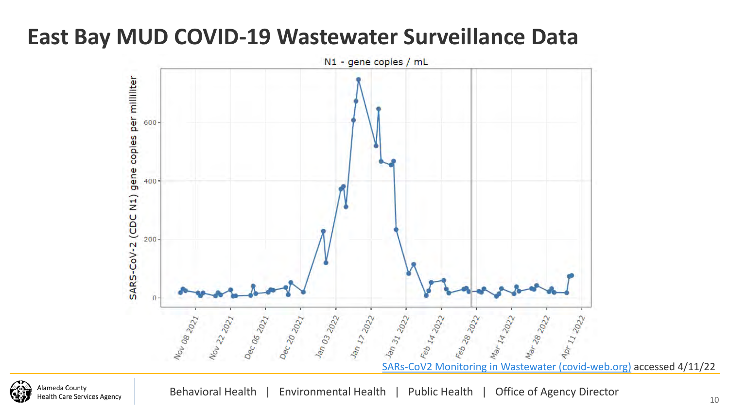# **East Bay MUD COVID-19 Wastewater Surveillance Data**



**Nameda County** lealth Care Services Agency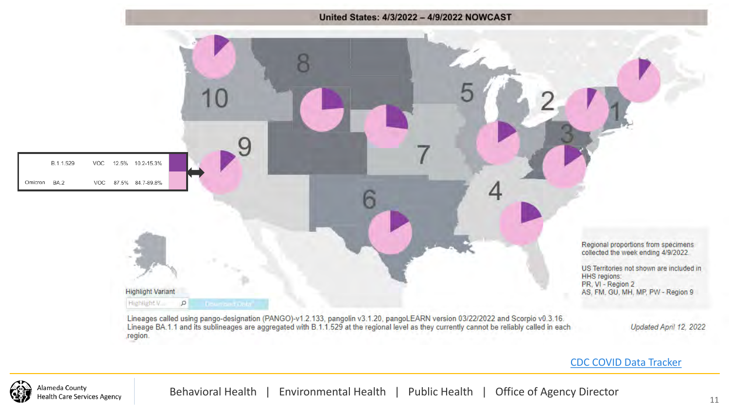

#### [CDC COVID Data Tracker](https://covid.cdc.gov/covid-data-tracker/#variant-proportions)

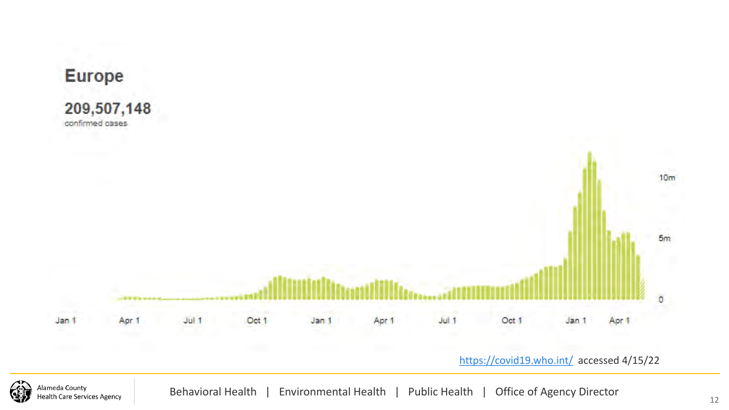

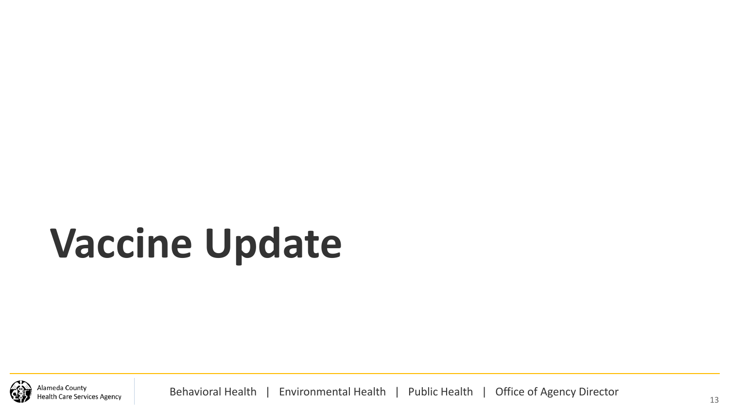# **Vaccine Update**

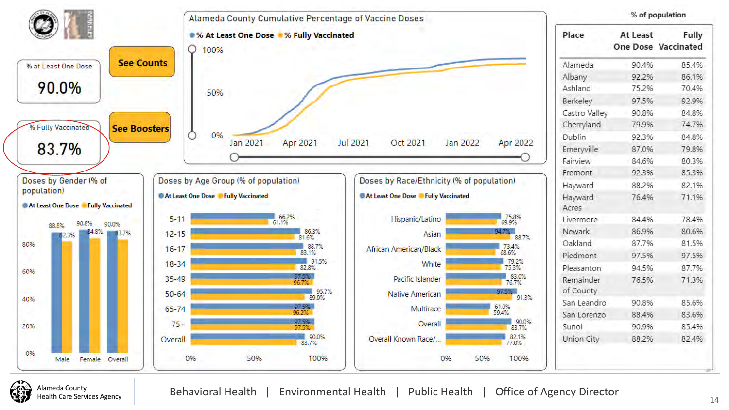

Alameda Countv **Health Care Services Agency**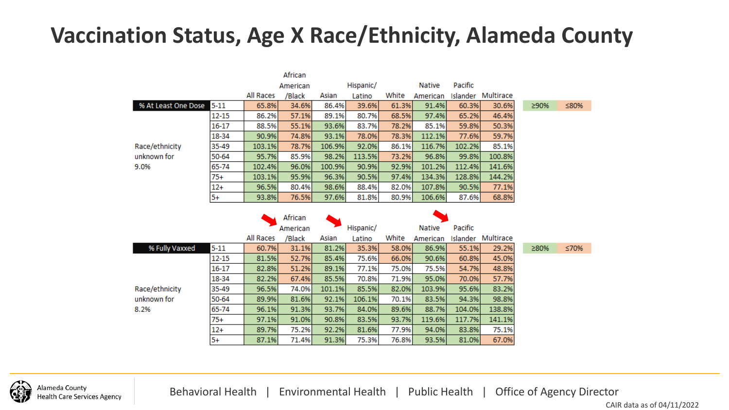# **Vaccination Status, Age X Race/Ethnicity, Alameda County**

|                     |           |           | African             |           |           |        |               |          |           |      |
|---------------------|-----------|-----------|---------------------|-----------|-----------|--------|---------------|----------|-----------|------|
|                     |           | American  |                     | Hispanic/ |           | Native | Pacific       |          |           |      |
|                     |           | All Races | /Black              | Asian     | Latino    | White  | American      | Islander | Multirace |      |
| % At Least One Dose | $5 - 11$  | 65.8%     | 34.6%               | 86.4%     | 39.6%     | 61.3%  | 91.4%         | 60.3%    | 30.6%     | ≥90% |
|                     | 12-15     | 86.2%     | 57.1%               | 89.1%     | 80.7%     | 68.5%  | 97.4%         | 65.2%    | 46.4%     |      |
|                     | 16-17     | 88.5%     | 55.1%               | 93.6%     | 83.7%     | 78.2%  | 85.1%         | 59.8%    | 50.3%     |      |
|                     | 18-34     | 90.9%     | 74.8%               | 93.1%     | 78.0%     | 78.3%  | 112.1%        | 77.6%    | 59.7%     |      |
| Race/ethnicity      | 35-49     | 103.1%    | 78.7%               | 106.9%    | 92.0%     | 86.1%  | 116.7%        | 102.2%   | 85.1%     |      |
| unknown for         | 50-64     | 95.7%     | 85.9%               | 98.2%     | 113.5%    | 73.2%  | 96.8%         | 99.8%    | 100.8%    |      |
| 9.0%                | 65-74     | 102.4%    | 96.0%               | 100.9%    | 90.9%     | 92.9%  | 101.2%        | 112.4%   | 141.6%    |      |
|                     | $75+$     | 103.1%    | 95.9%               | 96.3%     | 90.5%     | 97.4%  | 134.3%        | 128.8%   | 144.2%    |      |
|                     | $12+$     | 96.5%     | 80.4%               | 98.6%     | 88.4%     | 82.0%  | 107.8%        | 90.5%    | 77.1%     |      |
|                     | $5+$      | 93.8%     | 76.5%               | 97.6%     | 81.8%     | 80.9%  | 106.6%        | 87.6%    | 68.8%     |      |
|                     |           |           | African<br>American |           | Hispanic/ |        | <b>Native</b> | Pacific  |           |      |
|                     |           | All Races | /Black              | Asian     | Latino    | White  | American      | Islander | Multirace |      |
| % Fully Vaxxed      | $5 - 11$  | 60.7%     | 31.1%               | 81.2%     | 35.3%     | 58.0%  | 86.9%         | 55.1%    | 29.2%     | ≥80% |
|                     | $12 - 15$ | 81.5%     | 52.7%               | 85.4%     | 75.6%     | 66.0%  | 90.6%         | 60.8%    | 45.0%     |      |
|                     | 16-17     | 82.8%     | 51.2%               | 89.1%     | 77.1%     | 75.0%  | 75.5%         | 54.7%    | 48.8%     |      |
|                     | 18-34     | 82.2%     | 67.4%               | 85.5%     | 70.8%     | 71.9%  | 95.0%         | 70.0%    | 57.7%     |      |

101.1%

92.1%

93.7%

90.8%

92.2%

91.3%

85.5%

106.1%

84.0%

83.5%

81.6%

75.3%

Race/ethnicity unknown for

35-49

50-64

65-74

 $75+$ 

 $12+$ 

 $5+$ 

96.5%

89.9%

96.1%

97.1%

89.7%

87.1%

74.0%

81.6%

91.3%

91.0%

75.2%

71.4%

8.2%

 $\leq 70\%$ :80%

≤80%



Behavioral Health | Environmental Health | Public Health | Office of Agency Director

82.0%

70.1%

89.6%

93.7%

77.9%

76.8%

103.9%

83.5%

88.7%

119.6%

94.0%

93.5%

95.6%

94.3%

104.0%

117.7%

83.8%

81.0%

83.2%

98.8%

138.8%

141.1%

75.1%

67.0%

CAIR data as of 04/11/2022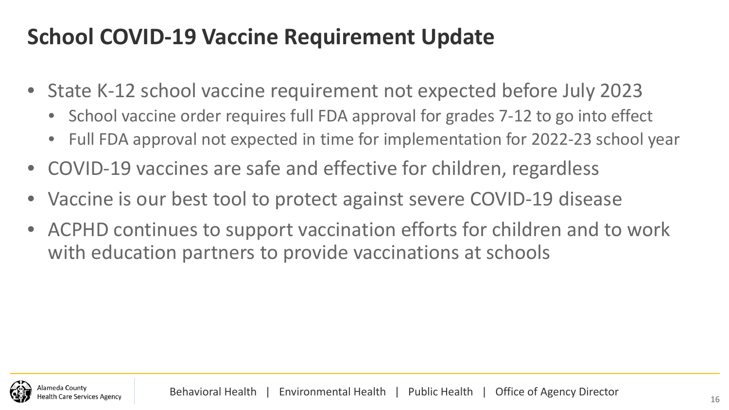# **School COVID-19 Vaccine Requirement Update**

- State K-12 school vaccine requirement not expected before July 2023
	- School vaccine order requires full FDA approval for grades 7-12 to go into effect
	- Full FDA approval not expected in time for implementation for 2022-23 school year
- COVID-19 vaccines are safe and effective for children, regardless
- Vaccine is our best tool to protect against severe COVID-19 disease
- ACPHD continues to support vaccination efforts for children and to work with education partners to provide vaccinations at schools

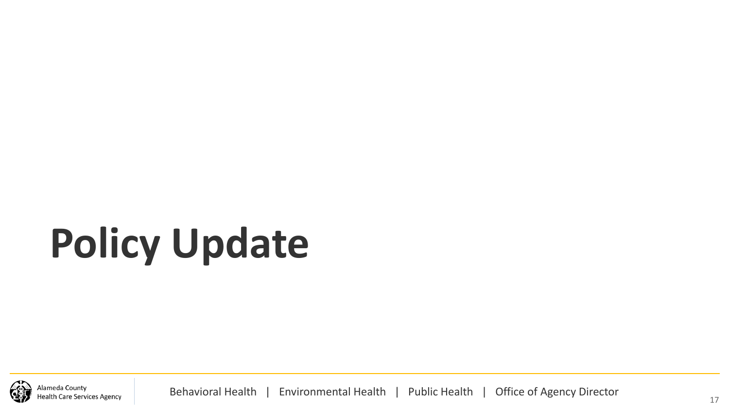# **Policy Update**

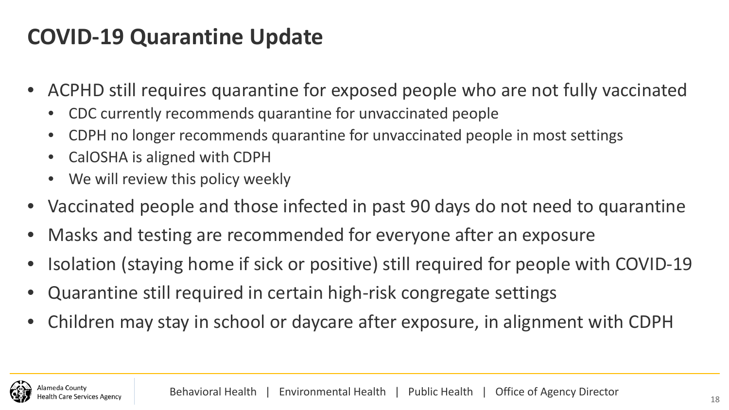# **COVID-19 Quarantine Update**

- ACPHD still requires quarantine for exposed people who are not fully vaccinated
	- CDC currently recommends quarantine for unvaccinated people
	- CDPH no longer recommends quarantine for unvaccinated people in most settings
	- CalOSHA is aligned with CDPH
	- We will review this policy weekly
- Vaccinated people and those infected in past 90 days do not need to quarantine
- Masks and testing are recommended for everyone after an exposure
- Isolation (staying home if sick or positive) still required for people with COVID-19
- Quarantine still required in certain high-risk congregate settings
- Children may stay in school or daycare after exposure, in alignment with CDPH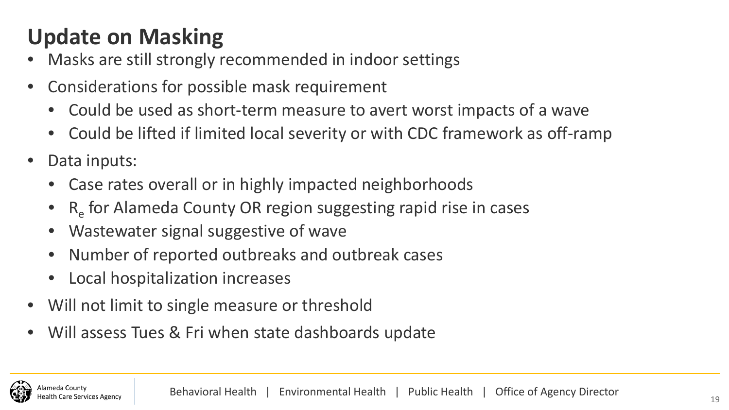# **Update on Masking**

- Masks are still strongly recommended in indoor settings
- Considerations for possible mask requirement
	- Could be used as short-term measure to avert worst impacts of a wave
	- Could be lifted if limited local severity or with CDC framework as off-ramp
- Data inputs:
	- Case rates overall or in highly impacted neighborhoods
	- $R_{\rm e}$  for Alameda County OR region suggesting rapid rise in cases
	- Wastewater signal suggestive of wave
	- Number of reported outbreaks and outbreak cases
	- Local hospitalization increases
- Will not limit to single measure or threshold
- Will assess Tues & Fri when state dashboards update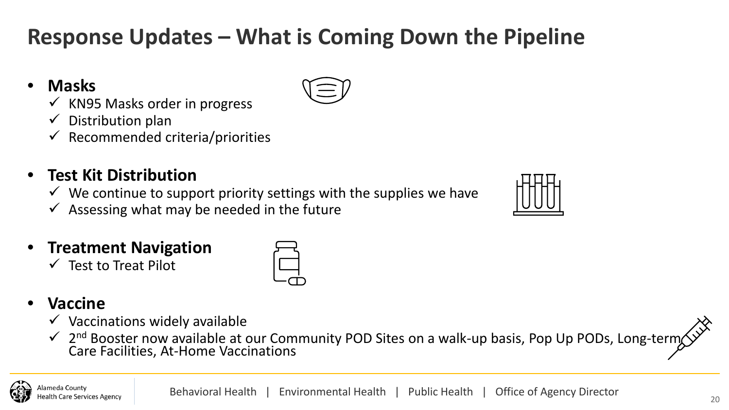# **Response Updates – What is Coming Down the Pipeline**

#### • **Masks**

- $\checkmark$  KN95 Masks order in progress
- $\checkmark$  Distribution plan
- $\checkmark$  Recommended criteria/priorities

#### • **Test Kit Distribution**

- $\checkmark$  We continue to support priority settings with the supplies we have
- $\checkmark$  Assessing what may be needed in the future

#### • **Treatment Navigation**

 $\checkmark$  Test to Treat Pilot



#### • **Vaccine**

- $\checkmark$  Vaccinations widely available
- √ 2<sup>nd</sup> Booster now available at our Community POD Sites on a walk-up basis, Pop Up PODs, Long-tern Care Facilities, At-Home Vaccinations

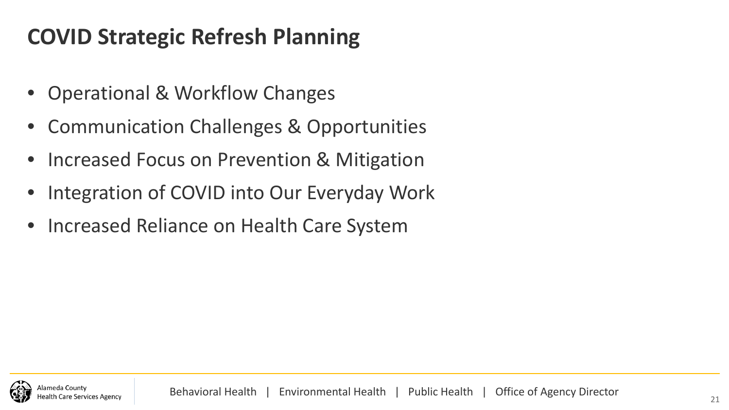# **COVID Strategic Refresh Planning**

- Operational & Workflow Changes
- Communication Challenges & Opportunities
- Increased Focus on Prevention & Mitigation
- Integration of COVID into Our Everyday Work
- Increased Reliance on Health Care System